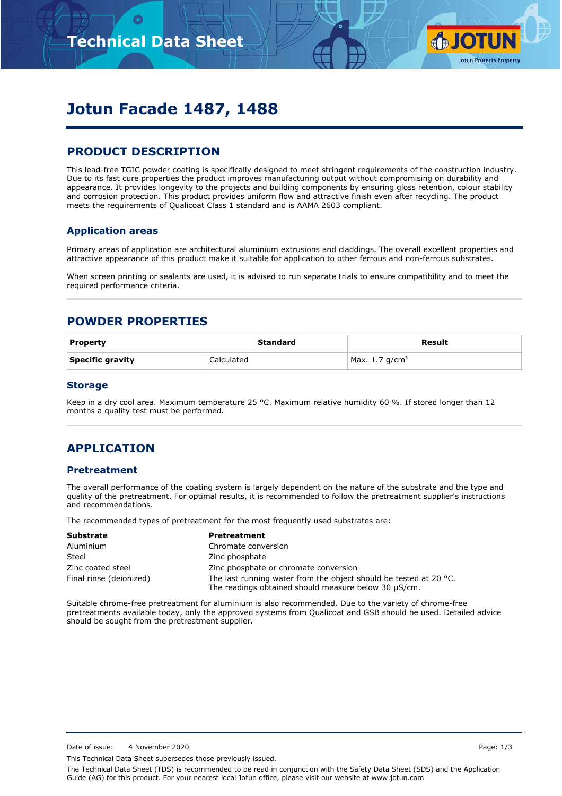

# **Jotun Facade 1487, 1488**

# **PRODUCT DESCRIPTION**

This lead-free TGIC powder coating is specifically designed to meet stringent requirements of the construction industry. Due to its fast cure properties the product improves manufacturing output without compromising on durability and appearance. It provides longevity to the projects and building components by ensuring gloss retention, colour stability and corrosion protection. This product provides uniform flow and attractive finish even after recycling. The product meets the requirements of Qualicoat Class 1 standard and is AAMA 2603 compliant.

### **Application areas**

Primary areas of application are architectural aluminium extrusions and claddings. The overall excellent properties and attractive appearance of this product make it suitable for application to other ferrous and non-ferrous substrates.

When screen printing or sealants are used, it is advised to run separate trials to ensure compatibility and to meet the required performance criteria.

## **POWDER PROPERTIES**

| <b>Property</b>  | Standard   | Result            |
|------------------|------------|-------------------|
| Specific gravity | Calculated | Max. 1.7 $q/cm^3$ |

#### **Storage**

Keep in a dry cool area. Maximum temperature 25 °C. Maximum relative humidity 60 %. If stored longer than 12 months a quality test must be performed.

## **APPLICATION**

#### **Pretreatment**

The overall performance of the coating system is largely dependent on the nature of the substrate and the type and quality of the pretreatment. For optimal results, it is recommended to follow the pretreatment supplier's instructions and recommendations.

The recommended types of pretreatment for the most frequently used substrates are:

| <b>Substrate</b>        | <b>Pretreatment</b>                                                                                                                 |
|-------------------------|-------------------------------------------------------------------------------------------------------------------------------------|
| Aluminium               | Chromate conversion                                                                                                                 |
| Steel                   | Zinc phosphate                                                                                                                      |
| Zinc coated steel       | Zinc phosphate or chromate conversion                                                                                               |
| Final rinse (deionized) | The last running water from the object should be tested at 20 $^{\circ}$ C.<br>The readings obtained should measure below 30 µS/cm. |

Suitable chrome-free pretreatment for aluminium is also recommended. Due to the variety of chrome-free pretreatments available today, only the approved systems from Qualicoat and GSB should be used. Detailed advice should be sought from the pretreatment supplier.

Date of issue: 4 November 2020 **Page: 1/3** 

This Technical Data Sheet supersedes those previously issued.

The Technical Data Sheet (TDS) is recommended to be read in conjunction with the Safety Data Sheet (SDS) and the Application Guide (AG) for this product. For your nearest local Jotun office, please visit our website at www.jotun.com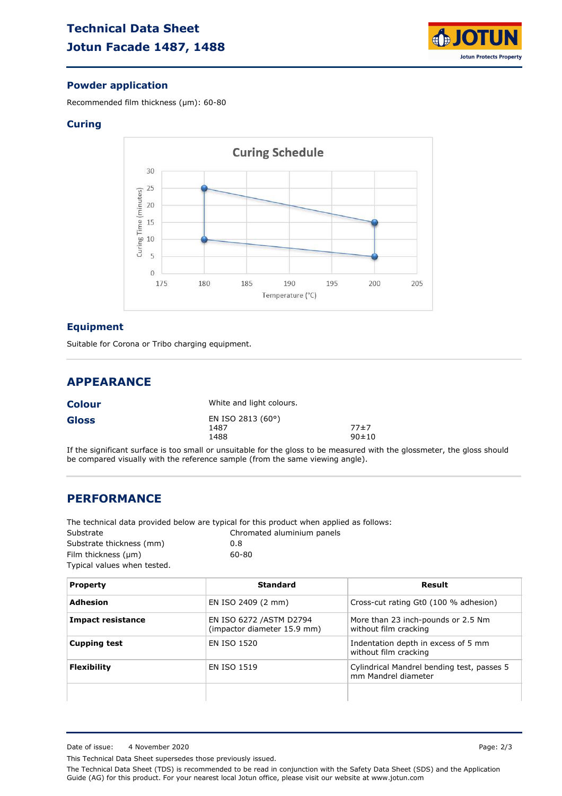

### **Powder application**

Recommended film thickness (µm): 60-80

#### **Curing**



#### **Equipment**

Suitable for Corona or Tribo charging equipment.

# **APPEARANCE**

| <b>Colour</b> | White and light colours.          |                     |
|---------------|-----------------------------------|---------------------|
| Gloss         | EN ISO 2813 (60°)<br>1487<br>1488 | 77±7<br>$90 \pm 10$ |

If the significant surface is too small or unsuitable for the gloss to be measured with the glossmeter, the gloss should be compared visually with the reference sample (from the same viewing angle).

### **PERFORMANCE**

The technical data provided below are typical for this product when applied as follows:

| Substrate                   | Chromated aluminium panels |
|-----------------------------|----------------------------|
| Substrate thickness (mm)    | 0.8                        |
| Film thickness $(\mu m)$    | 60-80                      |
| Typical values when tested. |                            |

| <b>Property</b>          | Standard                                                | Result                                                            |
|--------------------------|---------------------------------------------------------|-------------------------------------------------------------------|
| Adhesion                 | EN ISO 2409 (2 mm)                                      | Cross-cut rating Gt0 (100 % adhesion)                             |
| <b>Impact resistance</b> | EN ISO 6272 / ASTM D2794<br>(impactor diameter 15.9 mm) | More than 23 inch-pounds or 2.5 Nm<br>without film cracking       |
| <b>Cupping test</b>      | EN ISO 1520                                             | Indentation depth in excess of 5 mm<br>without film cracking      |
| <b>Flexibility</b>       | <b>EN ISO 1519</b>                                      | Cylindrical Mandrel bending test, passes 5<br>mm Mandrel diameter |
|                          |                                                         |                                                                   |

This Technical Data Sheet supersedes those previously issued.

The Technical Data Sheet (TDS) is recommended to be read in conjunction with the Safety Data Sheet (SDS) and the Application Guide (AG) for this product. For your nearest local Jotun office, please visit our website at www.jotun.com

Date of issue: 4 November 2020 Page: 2/3